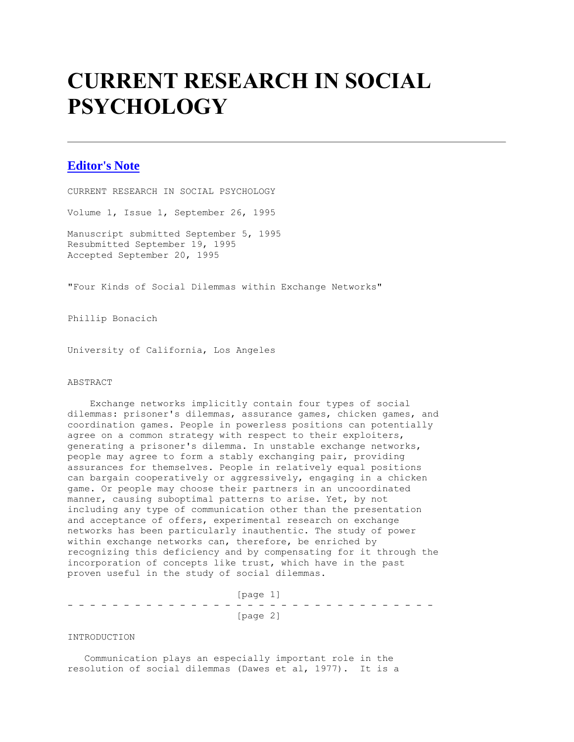# **CURRENT RESEARCH IN SOCIAL PSYCHOLOGY**

# **[Editor's Note](http://www.uiowa.edu/~grpproc/crisp/crisp.ednote.1.1.html)**

CURRENT RESEARCH IN SOCIAL PSYCHOLOGY Volume 1, Issue 1, September 26, 1995 Manuscript submitted September 5, 1995 Resubmitted September 19, 1995 Accepted September 20, 1995

"Four Kinds of Social Dilemmas within Exchange Networks"

Phillip Bonacich

University of California, Los Angeles

## ABSTRACT

 Exchange networks implicitly contain four types of social dilemmas: prisoner's dilemmas, assurance games, chicken games, and coordination games. People in powerless positions can potentially agree on a common strategy with respect to their exploiters, generating a prisoner's dilemma. In unstable exchange networks, people may agree to form a stably exchanging pair, providing assurances for themselves. People in relatively equal positions can bargain cooperatively or aggressively, engaging in a chicken game. Or people may choose their partners in an uncoordinated manner, causing suboptimal patterns to arise. Yet, by not including any type of communication other than the presentation and acceptance of offers, experimental research on exchange networks has been particularly inauthentic. The study of power within exchange networks can, therefore, be enriched by recognizing this deficiency and by compensating for it through the incorporation of concepts like trust, which have in the past proven useful in the study of social dilemmas.

 [page 1] - - - - - - - - - - - - - - - - - - - - - - - - - - - - - - - - - [page 2]

#### INTRODUCTION

 Communication plays an especially important role in the resolution of social dilemmas (Dawes et al, 1977). It is a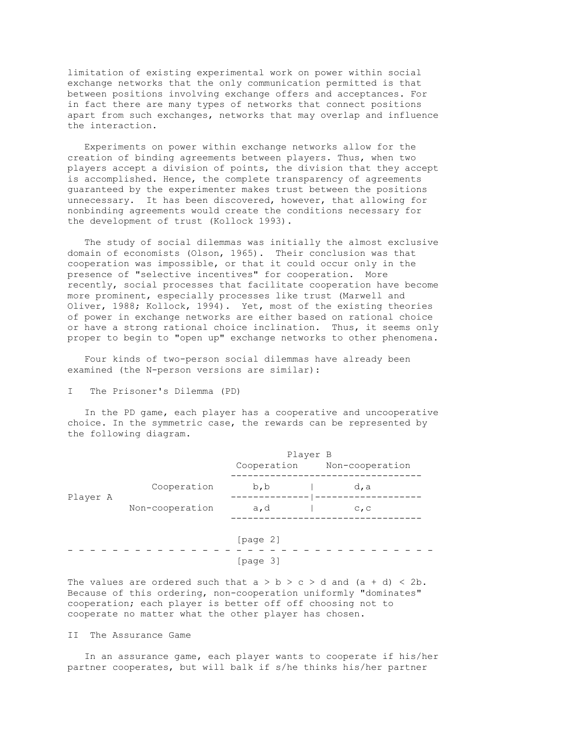limitation of existing experimental work on power within social exchange networks that the only communication permitted is that between positions involving exchange offers and acceptances. For in fact there are many types of networks that connect positions apart from such exchanges, networks that may overlap and influence the interaction.

 Experiments on power within exchange networks allow for the creation of binding agreements between players. Thus, when two players accept a division of points, the division that they accept is accomplished. Hence, the complete transparency of agreements guaranteed by the experimenter makes trust between the positions unnecessary. It has been discovered, however, that allowing for nonbinding agreements would create the conditions necessary for the development of trust (Kollock 1993).

 The study of social dilemmas was initially the almost exclusive domain of economists (Olson, 1965). Their conclusion was that cooperation was impossible, or that it could occur only in the presence of "selective incentives" for cooperation. More recently, social processes that facilitate cooperation have become more prominent, especially processes like trust (Marwell and Oliver, 1988; Kollock, 1994). Yet, most of the existing theories of power in exchange networks are either based on rational choice or have a strong rational choice inclination. Thus, it seems only proper to begin to "open up" exchange networks to other phenomena.

 Four kinds of two-person social dilemmas have already been examined (the N-person versions are similar):

#### I The Prisoner's Dilemma (PD)

 In the PD game, each player has a cooperative and uncooperative choice. In the symmetric case, the rewards can be represented by the following diagram.

|          |                 | Player B    |                 |  |
|----------|-----------------|-------------|-----------------|--|
|          |                 | Cooperation | Non-cooperation |  |
| Player A | Cooperation     | b, b        | d, a            |  |
|          | Non-cooperation | a,d         | C, C            |  |
|          |                 | [page 2]    |                 |  |

[page 3]

The values are ordered such that  $a > b > c > d$  and  $(a + d) < 2b$ . Because of this ordering, non-cooperation uniformly "dominates" cooperation; each player is better off off choosing not to cooperate no matter what the other player has chosen.

II The Assurance Game

 In an assurance game, each player wants to cooperate if his/her partner cooperates, but will balk if s/he thinks his/her partner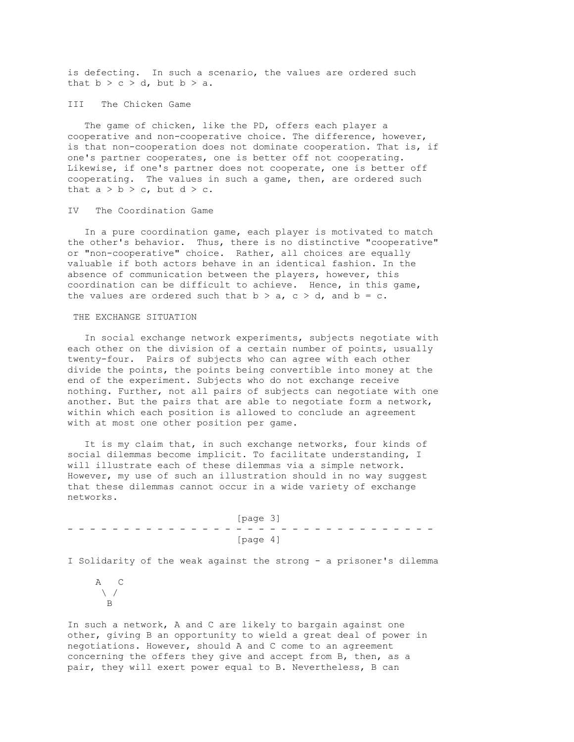is defecting. In such a scenario, the values are ordered such that  $b > c > d$ , but  $b > a$ .

#### III The Chicken Game

 The game of chicken, like the PD, offers each player a cooperative and non-cooperative choice. The difference, however, is that non-cooperation does not dominate cooperation. That is, if one's partner cooperates, one is better off not cooperating. Likewise, if one's partner does not cooperate, one is better off cooperating. The values in such a game, then, are ordered such that  $a > b > c$ , but  $d > c$ .

#### IV The Coordination Game

 In a pure coordination game, each player is motivated to match the other's behavior. Thus, there is no distinctive "cooperative" or "non-cooperative" choice. Rather, all choices are equally valuable if both actors behave in an identical fashion. In the absence of communication between the players, however, this coordination can be difficult to achieve. Hence, in this game, the values are ordered such that  $b > a$ ,  $c > d$ , and  $b = c$ .

#### THE EXCHANGE SITUATION

 In social exchange network experiments, subjects negotiate with each other on the division of a certain number of points, usually twenty-four. Pairs of subjects who can agree with each other divide the points, the points being convertible into money at the end of the experiment. Subjects who do not exchange receive nothing. Further, not all pairs of subjects can negotiate with one another. But the pairs that are able to negotiate form a network, within which each position is allowed to conclude an agreement with at most one other position per game.

 It is my claim that, in such exchange networks, four kinds of social dilemmas become implicit. To facilitate understanding, I will illustrate each of these dilemmas via a simple network. However, my use of such an illustration should in no way suggest that these dilemmas cannot occur in a wide variety of exchange networks.

|  |  |  |  |  |  |  |  |          | [page 3] |  |  |  |  |  |  |  |  |  |  |  |  |  |
|--|--|--|--|--|--|--|--|----------|----------|--|--|--|--|--|--|--|--|--|--|--|--|--|
|  |  |  |  |  |  |  |  |          |          |  |  |  |  |  |  |  |  |  |  |  |  |  |
|  |  |  |  |  |  |  |  | [page 4] |          |  |  |  |  |  |  |  |  |  |  |  |  |  |

I Solidarity of the weak against the strong - a prisoner's dilemma

 A C  $\setminus$  / B

In such a network, A and C are likely to bargain against one other, giving B an opportunity to wield a great deal of power in negotiations. However, should A and C come to an agreement concerning the offers they give and accept from B, then, as a pair, they will exert power equal to B. Nevertheless, B can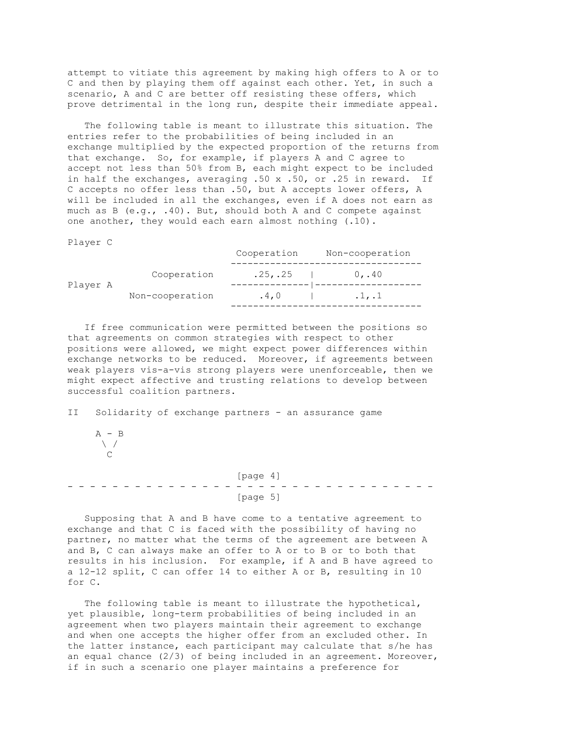attempt to vitiate this agreement by making high offers to A or to C and then by playing them off against each other. Yet, in such a scenario, A and C are better off resisting these offers, which prove detrimental in the long run, despite their immediate appeal.

 The following table is meant to illustrate this situation. The entries refer to the probabilities of being included in an exchange multiplied by the expected proportion of the returns from that exchange. So, for example, if players A and C agree to accept not less than 50% from B, each might expect to be included in half the exchanges, averaging  $.50 \times .50$ , or  $.25$  in reward. If C accepts no offer less than .50, but A accepts lower offers, A will be included in all the exchanges, even if A does not earn as much as B (e.g., .40). But, should both A and C compete against one another, they would each earn almost nothing (.10).

Player C

| .25, .25 | 0.140  |
|----------|--------|
| .4.0     | .1, .1 |
|          |        |

 If free communication were permitted between the positions so that agreements on common strategies with respect to other positions were allowed, we might expect power differences within exchange networks to be reduced. Moreover, if agreements between weak players vis-a-vis strong players were unenforceable, then we might expect affective and trusting relations to develop between successful coalition partners.

II Solidarity of exchange partners - an assurance game

 $A - B$  $\Delta$  / C

 [page 4] - - - - - - - - - - - - - - - - - - - - - - - - - - - - - - - - - [page 5]

 Supposing that A and B have come to a tentative agreement to exchange and that C is faced with the possibility of having no partner, no matter what the terms of the agreement are between A and B, C can always make an offer to A or to B or to both that results in his inclusion. For example, if A and B have agreed to a 12-12 split, C can offer 14 to either A or B, resulting in 10 for C.

 The following table is meant to illustrate the hypothetical, yet plausible, long-term probabilities of being included in an agreement when two players maintain their agreement to exchange and when one accepts the higher offer from an excluded other. In the latter instance, each participant may calculate that s/he has an equal chance (2/3) of being included in an agreement. Moreover, if in such a scenario one player maintains a preference for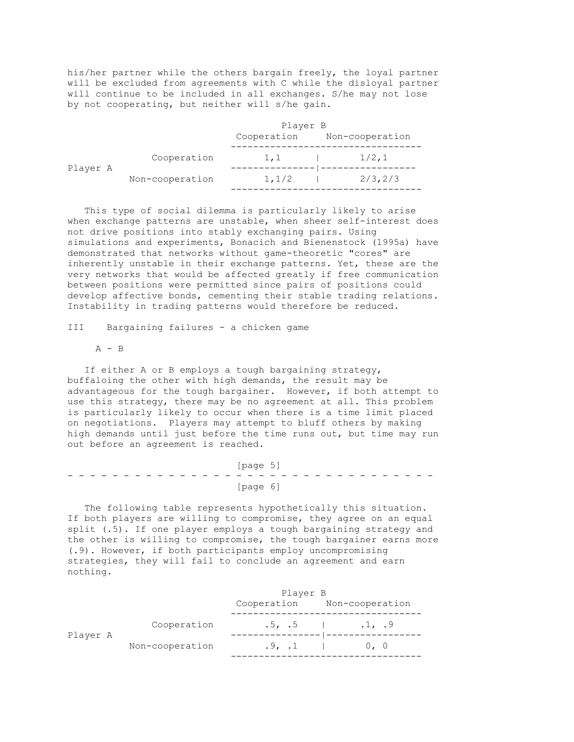his/her partner while the others bargain freely, the loyal partner will be excluded from agreements with C while the disloyal partner will continue to be included in all exchanges. S/he may not lose by not cooperating, but neither will s/he gain.

|          |                 | Player B    |                 |  |  |  |  |  |  |  |  |  |
|----------|-----------------|-------------|-----------------|--|--|--|--|--|--|--|--|--|
|          |                 | Cooperation | Non-cooperation |  |  |  |  |  |  |  |  |  |
|          | Cooperation     | 1,1         | $1/2$ , 1       |  |  |  |  |  |  |  |  |  |
| Player A | Non-cooperation | 1, 1/2      | 2/3, 2/3        |  |  |  |  |  |  |  |  |  |
|          |                 |             |                 |  |  |  |  |  |  |  |  |  |

 This type of social dilemma is particularly likely to arise when exchange patterns are unstable, when sheer self-interest does not drive positions into stably exchanging pairs. Using simulations and experiments, Bonacich and Bienenstock (1995a) have demonstrated that networks without game-theoretic "cores" are inherently unstable in their exchange patterns. Yet, these are the very networks that would be affected greatly if free communication between positions were permitted since pairs of positions could develop affective bonds, cementing their stable trading relations. Instability in trading patterns would therefore be reduced.

### III Bargaining failures - a chicken game

 $A - B$ 

 If either A or B employs a tough bargaining strategy, buffaloing the other with high demands, the result may be advantageous for the tough bargainer. However, if both attempt to use this strategy, there may be no agreement at all. This problem is particularly likely to occur when there is a time limit placed on negotiations. Players may attempt to bluff others by making high demands until just before the time runs out, but time may run out before an agreement is reached.

 [page 5] - - - - - - - - - - - - - - - - - - - - - - - - - - - - - - - - - [page 6]

 The following table represents hypothetically this situation. If both players are willing to compromise, they agree on an equal split (.5). If one player employs a tough bargaining strategy and the other is willing to compromise, the tough bargainer earns more (.9). However, if both participants employ uncompromising strategies, they will fail to conclude an agreement and earn nothing.

|          |                 | Player B    |                 |  |  |  |  |  |  |  |  |  |  |
|----------|-----------------|-------------|-----------------|--|--|--|--|--|--|--|--|--|--|
|          |                 | Cooperation | Non-cooperation |  |  |  |  |  |  |  |  |  |  |
| Player A | Cooperation     | $.5, .5$    | .1, .9          |  |  |  |  |  |  |  |  |  |  |
|          | Non-cooperation | .9.1        | 0.0             |  |  |  |  |  |  |  |  |  |  |
|          |                 |             |                 |  |  |  |  |  |  |  |  |  |  |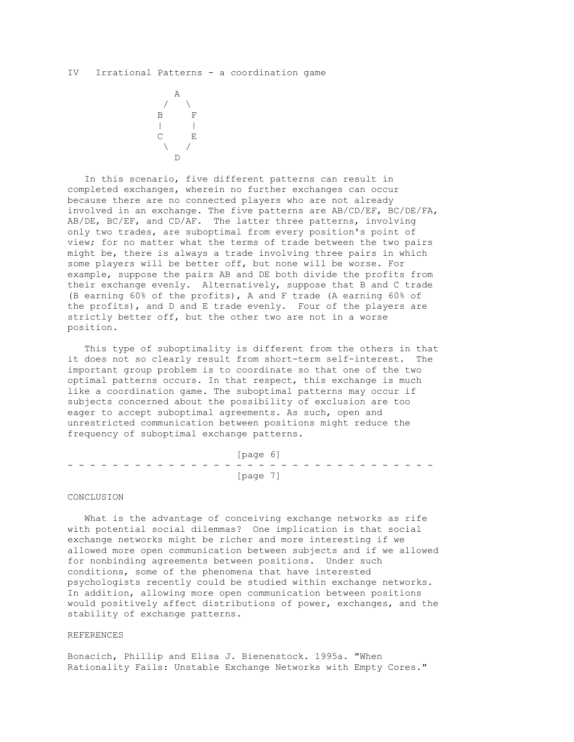

 In this scenario, five different patterns can result in completed exchanges, wherein no further exchanges can occur because there are no connected players who are not already involved in an exchange. The five patterns are AB/CD/EF, BC/DE/FA, AB/DE, BC/EF, and CD/AF. The latter three patterns, involving only two trades, are suboptimal from every position's point of view; for no matter what the terms of trade between the two pairs might be, there is always a trade involving three pairs in which some players will be better off, but none will be worse. For example, suppose the pairs AB and DE both divide the profits from their exchange evenly. Alternatively, suppose that B and C trade (B earning 60% of the profits), A and F trade (A earning 60% of the profits), and D and E trade evenly. Four of the players are strictly better off, but the other two are not in a worse position.

 This type of suboptimality is different from the others in that it does not so clearly result from short-term self-interest. The important group problem is to coordinate so that one of the two optimal patterns occurs. In that respect, this exchange is much like a coordination game. The suboptimal patterns may occur if subjects concerned about the possibility of exclusion are too eager to accept suboptimal agreements. As such, open and unrestricted communication between positions might reduce the frequency of suboptimal exchange patterns.

|  |  |  |  |  |  |  |          | [page 6] |  |  |  |  |  |  |  |  |  |  |  |  |  |
|--|--|--|--|--|--|--|----------|----------|--|--|--|--|--|--|--|--|--|--|--|--|--|
|  |  |  |  |  |  |  |          |          |  |  |  |  |  |  |  |  |  |  |  |  |  |
|  |  |  |  |  |  |  | [page 7] |          |  |  |  |  |  |  |  |  |  |  |  |  |  |

#### CONCLUSION

 What is the advantage of conceiving exchange networks as rife with potential social dilemmas? One implication is that social exchange networks might be richer and more interesting if we allowed more open communication between subjects and if we allowed for nonbinding agreements between positions. Under such conditions, some of the phenomena that have interested psychologists recently could be studied within exchange networks. In addition, allowing more open communication between positions would positively affect distributions of power, exchanges, and the stability of exchange patterns.

#### REFERENCES

Bonacich, Phillip and Elisa J. Bienenstock. 1995a. "When Rationality Fails: Unstable Exchange Networks with Empty Cores."